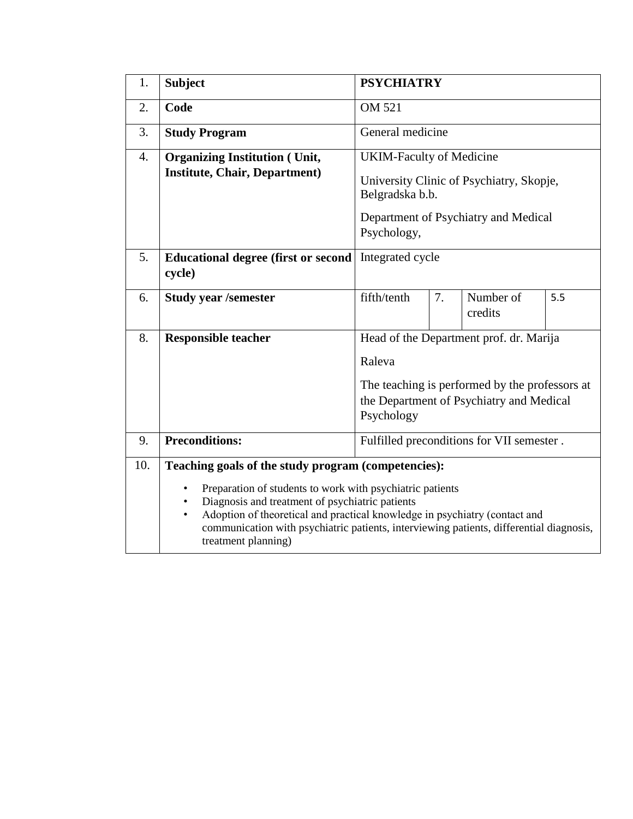| 1.               | <b>Subject</b>                                                                                                                                                                                                                                                                                                                              | <b>PSYCHIATRY</b>                                                                                                                                             |    |                      |     |  |
|------------------|---------------------------------------------------------------------------------------------------------------------------------------------------------------------------------------------------------------------------------------------------------------------------------------------------------------------------------------------|---------------------------------------------------------------------------------------------------------------------------------------------------------------|----|----------------------|-----|--|
| 2.               | Code                                                                                                                                                                                                                                                                                                                                        | OM 521                                                                                                                                                        |    |                      |     |  |
| 3.               | <b>Study Program</b>                                                                                                                                                                                                                                                                                                                        | General medicine                                                                                                                                              |    |                      |     |  |
| $\overline{4}$ . | <b>Organizing Institution (Unit,</b><br><b>Institute, Chair, Department)</b>                                                                                                                                                                                                                                                                | <b>UKIM-Faculty of Medicine</b><br>University Clinic of Psychiatry, Skopje,<br>Belgradska b.b.<br>Department of Psychiatry and Medical                        |    |                      |     |  |
|                  |                                                                                                                                                                                                                                                                                                                                             | Psychology,                                                                                                                                                   |    |                      |     |  |
| 5.               | <b>Educational degree (first or second)</b><br>cycle)                                                                                                                                                                                                                                                                                       | Integrated cycle                                                                                                                                              |    |                      |     |  |
| 6.               | <b>Study year /semester</b>                                                                                                                                                                                                                                                                                                                 | fifth/tenth                                                                                                                                                   | 7. | Number of<br>credits | 5.5 |  |
| 8.               | <b>Responsible teacher</b>                                                                                                                                                                                                                                                                                                                  | Head of the Department prof. dr. Marija<br>Raleva<br>The teaching is performed by the professors at<br>the Department of Psychiatry and Medical<br>Psychology |    |                      |     |  |
| 9.               | <b>Preconditions:</b><br>Fulfilled preconditions for VII semester.                                                                                                                                                                                                                                                                          |                                                                                                                                                               |    |                      |     |  |
| 10.              | Teaching goals of the study program (competencies):                                                                                                                                                                                                                                                                                         |                                                                                                                                                               |    |                      |     |  |
|                  | Preparation of students to work with psychiatric patients<br>$\bullet$<br>Diagnosis and treatment of psychiatric patients<br>٠<br>Adoption of theoretical and practical knowledge in psychiatry (contact and<br>$\bullet$<br>communication with psychiatric patients, interviewing patients, differential diagnosis,<br>treatment planning) |                                                                                                                                                               |    |                      |     |  |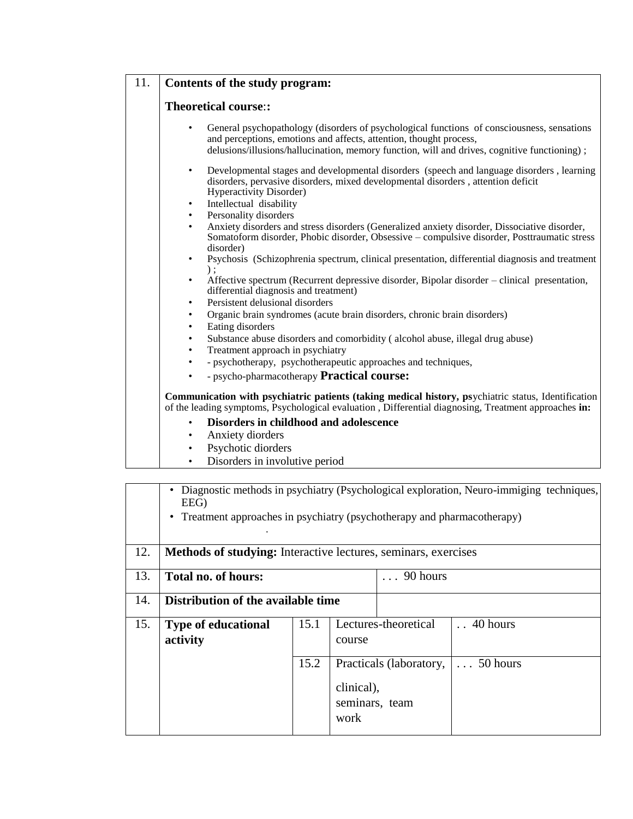|  | 11.   Contents of the study program: |
|--|--------------------------------------|
|--|--------------------------------------|

## **Theoretical course**:**:**

• General psychopathology (disorders of psychological functions of consciousness, sensations and perceptions, emotions and affects, attention, thought process, delusions/illusions/hallucination, memory function, will and drives, cognitive functioning) ;

- Developmental stages and developmental disorders (speech and language disorders , learning disorders, pervasive disorders, mixed developmental disorders , attention deficit Hyperactivity Disorder)
- Intellectual disability
- Personality disorders
- Anxiety disorders and stress disorders (Generalized anxiety disorder, Dissociative disorder, Somatoform disorder, Phobic disorder, Obsessive – compulsive disorder, Posttraumatic stress disorder)
- Psychosis (Schizophrenia spectrum, clinical presentation, differential diagnosis and treatment ) ;
- Affective spectrum (Recurrent depressive disorder, Bipolar disorder clinical presentation, differential diagnosis and treatment)
- Persistent delusional disorders
- Organic brain syndromes (acute brain disorders, chronic brain disorders)
- Eating disorders
- Substance abuse disorders and comorbidity ( alcohol abuse, illegal drug abuse)
- Treatment approach in psychiatry
- - psychotherapy, psychotherapeutic approaches and techniques,
- - psycho-pharmacotherapy **Practical course:**

**Communication with psychiatric patients (taking medical history, ps**ychiatric status, Identification of the leading symptoms, Psychological evaluation , Differential diagnosing, Treatment approaches **in:** 

- **Disorders in childhood and adolescence**
- Anxiety diorders
- Psychotic diorders
- Disorders in involutive period

|     | Diagnostic methods in psychiatry (Psychological exploration, Neuro-immiging techniques,<br>EEG)<br>Treatment approaches in psychiatry (psychotherapy and pharmacotherapy)<br>٠ |      |                                                                 |                      |                       |  |  |
|-----|--------------------------------------------------------------------------------------------------------------------------------------------------------------------------------|------|-----------------------------------------------------------------|----------------------|-----------------------|--|--|
| 12. | Methods of studying: Interactive lectures, seminars, exercises                                                                                                                 |      |                                                                 |                      |                       |  |  |
| 13. | Total no. of hours:                                                                                                                                                            |      |                                                                 | $\ldots$ 90 hours    |                       |  |  |
| 14. | Distribution of the available time                                                                                                                                             |      |                                                                 |                      |                       |  |  |
| 15. | <b>Type of educational</b><br>activity                                                                                                                                         | 15.1 | course                                                          | Lectures-theoretical | $\therefore$ 40 hours |  |  |
|     |                                                                                                                                                                                | 15.2 | Practicals (laboratory,<br>clinical),<br>seminars, team<br>work |                      | $\ldots 50$ hours     |  |  |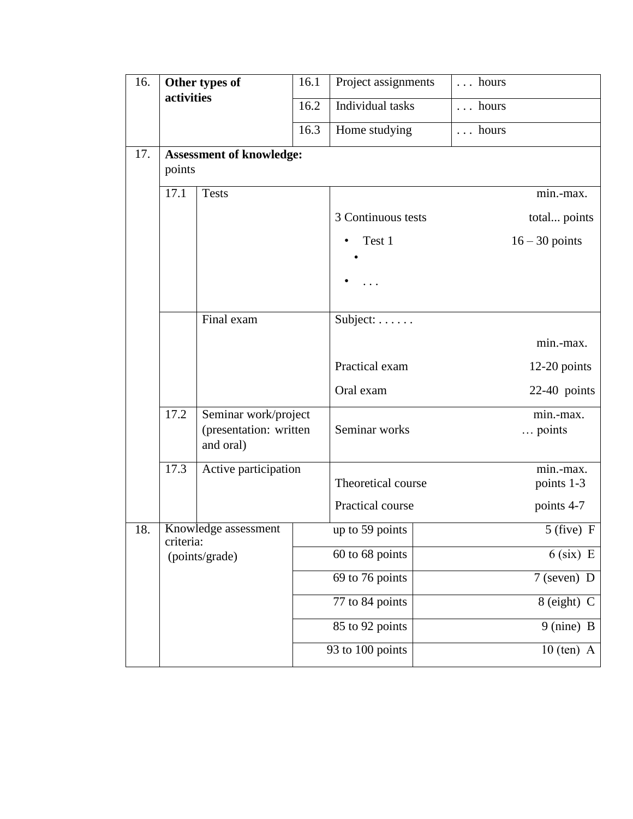| 16. | Other types of<br>activities                                                      |                                 | 16.1             | Project assignments | $\ldots$ hours |                              |
|-----|-----------------------------------------------------------------------------------|---------------------------------|------------------|---------------------|----------------|------------------------------|
|     |                                                                                   |                                 | 16.2             | Individual tasks    | $\ldots$ hours |                              |
|     |                                                                                   |                                 | 16.3             | Home studying       | hours          |                              |
| 17. | points                                                                            | <b>Assessment of knowledge:</b> |                  |                     |                |                              |
|     | 17.1<br><b>Tests</b>                                                              |                                 |                  |                     |                | min.-max.                    |
|     | Final exam<br>17.2<br>Seminar work/project<br>(presentation: written<br>and oral) |                                 |                  | 3 Continuous tests  |                | total points                 |
|     |                                                                                   |                                 |                  | Test 1              |                | $16 - 30$ points             |
|     |                                                                                   |                                 |                  |                     |                |                              |
|     |                                                                                   |                                 |                  | Subject:            |                |                              |
|     |                                                                                   |                                 |                  |                     |                | min.-max.                    |
|     |                                                                                   |                                 |                  | Practical exam      |                | $12-20$ points               |
|     |                                                                                   |                                 |                  | Oral exam           |                | $22-40$ points               |
|     |                                                                                   |                                 |                  | Seminar works       |                | min.-max.<br>$\ldots$ points |
|     | 17.3                                                                              | Active participation            |                  | Theoretical course  |                | min.-max.<br>points 1-3      |
|     |                                                                                   |                                 |                  | Practical course    |                | points 4-7                   |
| 18. | Knowledge assessment<br>criteria:<br>(points/grade)                               |                                 |                  | up to 59 points     |                | $5$ (five) F                 |
|     |                                                                                   |                                 |                  | 60 to 68 points     |                | $6$ (six) E                  |
|     |                                                                                   |                                 |                  | 69 to 76 points     |                | 7 (seven) D                  |
|     |                                                                                   |                                 |                  | 77 to 84 points     |                | 8 (eight) C                  |
|     |                                                                                   |                                 |                  | 85 to 92 points     |                | 9 (nine) B                   |
|     |                                                                                   |                                 | 93 to 100 points |                     | $10$ (ten) A   |                              |